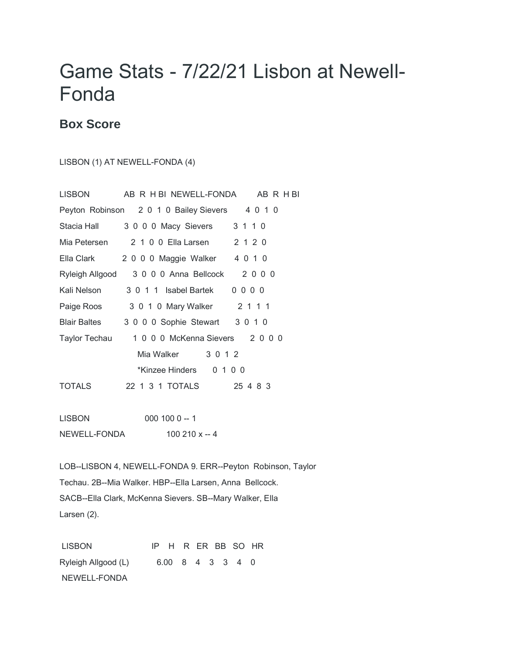## Game Stats - 7/22/21 Lisbon at Newell-Fonda

## **Box Score**

## LISBON (1) AT NEWELL-FONDA (4)

| <b>LISBON</b><br>AB R H BI NEWELL-FONDA AB R H BI |
|---------------------------------------------------|
| Peyton Robinson 2 0 1 0 Bailey Sievers<br>4 0 1 0 |
| 3 1 1 0<br>3 0 0 0 Macy Sievers                   |
| 2 1 0 0 Ella Larsen 2 1 2 0<br>Mia Petersen       |
| 2 0 0 0 Maggie Walker 4 0 1 0                     |
| 3 0 0 0 Anna Bellcock 2 0 0 0<br>Ryleigh Allgood  |
| 3 0 1 1 Isabel Bartek<br>$0000$                   |
| 2 1 1 1<br>3 0 1 0 Mary Walker                    |
| 3 0 0 0 Sophie Stewart 3 0 1 0                    |
| 1 0 0 0 McKenna Sievers 2 0 0 0<br>Taylor Techau  |
| Mia Walker<br>3 0 1 2                             |
| *Kinzee Hinders 0 1 0 0                           |
| 22 1 3 1 TOTALS<br>25 4 8 3                       |
|                                                   |
|                                                   |

LISBON 000 100 0 -- 1 NEWELL-FONDA 100 210 x -- 4

LOB--LISBON 4, NEWELL-FONDA 9. ERR--Peyton Robinson, Taylor Techau. 2B--Mia Walker. HBP--Ella Larsen, Anna Bellcock. SACB--Ella Clark, McKenna Sievers. SB--Mary Walker, Ella Larsen (2).

LISBON IP H R ER BB SO HR Ryleigh Allgood (L) 6.00 8 4 3 3 4 0 NEWELL-FONDA